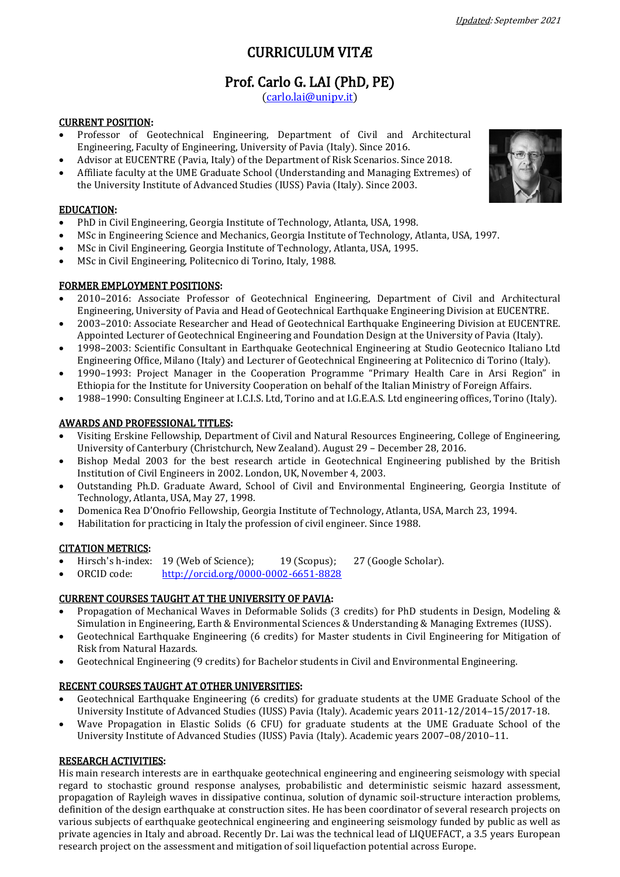# CURRICULUM VITÆ

# Prof. [Carlo G. LAI \(Ph](mailto:carlo.lai@unipv.it)D, PE)<br>[\(carlo.lai@unipv.it\)](mailto:carlo.lai@unipv.it)

## CURRENT POSITION:

- Professor of Geotechnical Engineering, Department of Civil and Architectural Engineering, Faculty of Engineering, University of Pavia (Italy). Since 2016.
- Advisor at EUCENTRE (Pavia, Italy) of the Department of Risk Scenarios. Since 2018.
- Affiliate faculty at the UME Graduate School (Understanding and Managing Extremes) of the University Institute of Advanced Studies (IUSS) Pavia (Italy). Since 2003.

## EDUCATION:

- PhD in Civil Engineering, Georgia Institute of Technology, Atlanta, USA, 1998.
- MSc in Engineering Science and Mechanics, Georgia Institute of Technology, Atlanta, USA, 1997.
- MSc in Civil Engineering, Georgia Institute of Technology, Atlanta, USA, 1995.
- MSc in Civil Engineering, Politecnico di Torino, Italy, 1988.

#### FORMER EMPLOYMENT POSITIONS:

- 2010–2016: Associate Professor of Geotechnical Engineering, Department of Civil and Architectural Engineering, University of Pavia and Head of Geotechnical Earthquake Engineering Division at EUCENTRE.
- 2003–2010: Associate Researcher and Head of Geotechnical Earthquake Engineering Division at EUCENTRE. Appointed Lecturer of Geotechnical Engineering and Foundation Design at the University of Pavia (Italy).
- 1998–2003: Scientific Consultant in Earthquake Geotechnical Engineering at Studio Geotecnico Italiano Ltd Engineering Office, Milano (Italy) and Lecturer of Geotechnical Engineering at Politecnico di Torino (Italy).
- 1990–1993: Project Manager in the Cooperation Programme "Primary Health Care in Arsi Region" in Ethiopia for the Institute for University Cooperation on behalf of the Italian Ministry of Foreign Affairs.
- 1988–1990: Consulting Engineer at I.C.I.S. Ltd, Torino and at I.G.E.A.S. Ltd engineering offices, Torino (Italy).

# AWARDS AND PROFESSIONAL TITLES:

- Visiting Erskine Fellowship, Department of Civil and Natural Resources Engineering, College of Engineering, University of Canterbury (Christchurch, New Zealand). August 29 – December 28, 2016.
- Bishop Medal 2003 for the best research article in Geotechnical Engineering published by the British Institution of Civil Engineers in 2002. London, UK, November 4, 2003.
- Outstanding Ph.D. Graduate Award, School of Civil and Environmental Engineering, Georgia Institute of Technology, Atlanta, USA, May 27, 1998.
- Domenica Rea D'Onofrio Fellowship, Georgia Institute of Technology, Atlanta, USA, March 23, 1994.
- Habilitation for practicing in Italy the profession of civil engineer. Since 1988.

#### CITATION METRICS:

- Hirsch's h-index: 19 (Web of Science); 19 (Scopus); 27 (Google Scholar).<br>ORCID code: http://orcid.org/0000-0002-6651-8828
- ORCID code: <http://orcid.org/0000-0002-6651-8828>

#### CURRENT COURSES TAUGHT AT THE UNIVERSITY OF PAVIA:

- Propagation of Mechanical Waves in Deformable Solids (3 credits) for PhD students in Design, Modeling & Simulation in Engineering, Earth & Environmental Sciences & Understanding & Managing Extremes (IUSS).
- Geotechnical Earthquake Engineering (6 credits) for Master students in Civil Engineering for Mitigation of Risk from Natural Hazards.
- Geotechnical Engineering (9 credits) for Bachelor students in Civil and Environmental Engineering.

#### RECENT COURSES TAUGHT AT OTHER UNIVERSITIES:

- Geotechnical Earthquake Engineering (6 credits) for graduate students at the UME Graduate School of the University Institute of Advanced Studies (IUSS) Pavia (Italy). Academic years 2011-12/2014–15/2017-18.
- Wave Propagation in Elastic Solids (6 CFU) for graduate students at the UME Graduate School of the University Institute of Advanced Studies (IUSS) Pavia (Italy). Academic years 2007–08/2010–11.

#### RESEARCH ACTIVITIES:

His main research interests are in earthquake geotechnical engineering and engineering seismology with special regard to stochastic ground response analyses, probabilistic and deterministic seismic hazard assessment, propagation of Rayleigh waves in dissipative continua, solution of dynamic soil-structure interaction problems, definition of the design earthquake at construction sites. He has been coordinator of several research projects on various subjects of earthquake geotechnical engineering and engineering seismology funded by public as well as private agencies in Italy and abroad. Recently Dr. Lai was the technical lead of LIQUEFACT, a 3.5 years European research project on the assessment and mitigation of soil liquefaction potential across Europe.